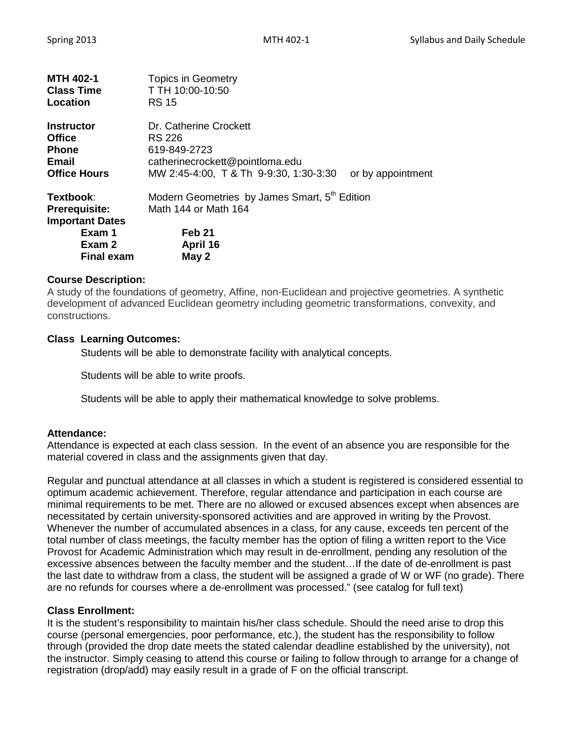| <b>MTH 402-1</b><br><b>Class Time</b><br>Location                                                    | <b>Topics in Geometry</b><br>T TH 10:00-10:50<br><b>RS 15</b>                                                                 |                   |  |
|------------------------------------------------------------------------------------------------------|-------------------------------------------------------------------------------------------------------------------------------|-------------------|--|
| Instructor<br><b>Office</b><br><b>Phone</b><br>Email<br><b>Office Hours</b>                          | Dr. Catherine Crockett<br>RS 226<br>619-849-2723<br>catherinecrockett@pointloma.edu<br>MW 2:45-4:00, T & Th 9-9:30, 1:30-3:30 | or by appointment |  |
| Textbook:<br><b>Prerequisite:</b><br><b>Important Dates</b><br>Exam 1<br>Exam 2<br><b>Final exam</b> | Modern Geometries by James Smart, 5 <sup>th</sup> Edition<br>Math 144 or Math 164<br>Feb 21<br>April 16<br>May 2              |                   |  |

### **Course Description:**

A study of the foundations of geometry, Affine, non-Euclidean and projective geometries. A synthetic development of advanced Euclidean geometry including geometric transformations, convexity, and constructions.

### **Class Learning Outcomes:**

Students will be able to demonstrate facility with analytical concepts.

Students will be able to write proofs.

Students will be able to apply their mathematical knowledge to solve problems.

#### **Attendance:**

Attendance is expected at each class session. In the event of an absence you are responsible for the material covered in class and the assignments given that day.

Regular and punctual attendance at all classes in which a student is registered is considered essential to optimum academic achievement. Therefore, regular attendance and participation in each course are minimal requirements to be met. There are no allowed or excused absences except when absences are necessitated by certain university-sponsored activities and are approved in writing by the Provost. Whenever the number of accumulated absences in a class, for any cause, exceeds ten percent of the total number of class meetings, the faculty member has the option of filing a written report to the Vice Provost for Academic Administration which may result in de-enrollment, pending any resolution of the excessive absences between the faculty member and the student…If the date of de-enrollment is past the last date to withdraw from a class, the student will be assigned a grade of W or WF (no grade). There are no refunds for courses where a de-enrollment was processed." (see catalog for full text)

#### **Class Enrollment:**

It is the student's responsibility to maintain his/her class schedule. Should the need arise to drop this course (personal emergencies, poor performance, etc.), the student has the responsibility to follow through (provided the drop date meets the stated calendar deadline established by the university), not the instructor. Simply ceasing to attend this course or failing to follow through to arrange for a change of registration (drop/add) may easily result in a grade of F on the official transcript.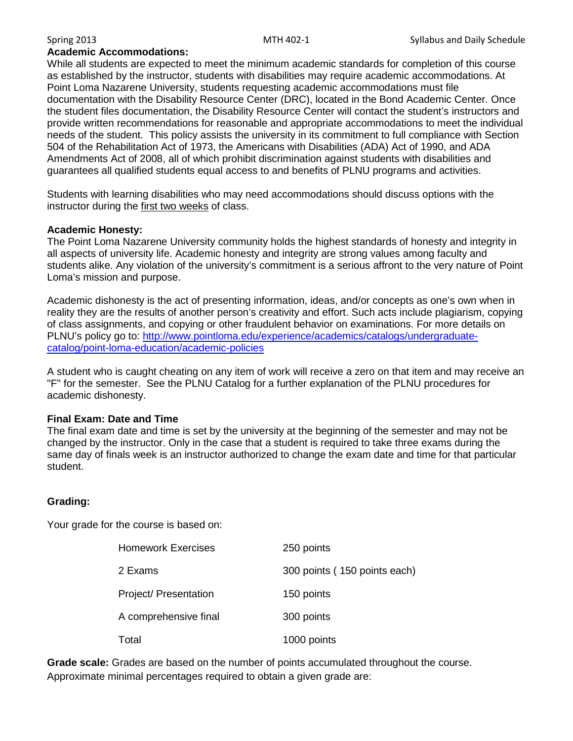#### **Academic Accommodations:**

While all students are expected to meet the minimum academic standards for completion of this course as established by the instructor, students with disabilities may require academic accommodations. At Point Loma Nazarene University, students requesting academic accommodations must file documentation with the Disability Resource Center (DRC), located in the Bond Academic Center. Once the student files documentation, the Disability Resource Center will contact the student's instructors and provide written recommendations for reasonable and appropriate accommodations to meet the individual needs of the student. This policy assists the university in its commitment to full compliance with Section 504 of the Rehabilitation Act of 1973, the Americans with Disabilities (ADA) Act of 1990, and ADA Amendments Act of 2008, all of which prohibit discrimination against students with disabilities and guarantees all qualified students equal access to and benefits of PLNU programs and activities.

Students with learning disabilities who may need accommodations should discuss options with the instructor during the first two weeks of class.

#### **Academic Honesty:**

The Point Loma Nazarene University community holds the highest standards of honesty and integrity in all aspects of university life. Academic honesty and integrity are strong values among faculty and students alike. Any violation of the university's commitment is a serious affront to the very nature of Point Loma's mission and purpose.

Academic dishonesty is the act of presenting information, ideas, and/or concepts as one's own when in reality they are the results of another person's creativity and effort. Such acts include plagiarism, copying of class assignments, and copying or other fraudulent behavior on examinations. For more details on PLNU's policy go to: [http://www.pointloma.edu/experience/academics/catalogs/undergraduate](http://www.pointloma.edu/experience/academics/catalogs/undergraduate-catalog/point-loma-education/academic-policies)[catalog/point-loma-education/academic-policies](http://www.pointloma.edu/experience/academics/catalogs/undergraduate-catalog/point-loma-education/academic-policies)

A student who is caught cheating on any item of work will receive a zero on that item and may receive an "F" for the semester. See the PLNU Catalog for a further explanation of the PLNU procedures for academic dishonesty.

#### **Final Exam: Date and Time**

The final exam date and time is set by the university at the beginning of the semester and may not be changed by the instructor. Only in the case that a student is required to take three exams during the same day of finals week is an instructor authorized to change the exam date and time for that particular student.

#### **Grading:**

Your grade for the course is based on:

| <b>Homework Exercises</b> | 250 points                   |  |  |
|---------------------------|------------------------------|--|--|
| 2 Exams                   | 300 points (150 points each) |  |  |
| Project/ Presentation     | 150 points                   |  |  |
| A comprehensive final     | 300 points                   |  |  |
| Total                     | 1000 points                  |  |  |

**Grade scale:** Grades are based on the number of points accumulated throughout the course. Approximate minimal percentages required to obtain a given grade are: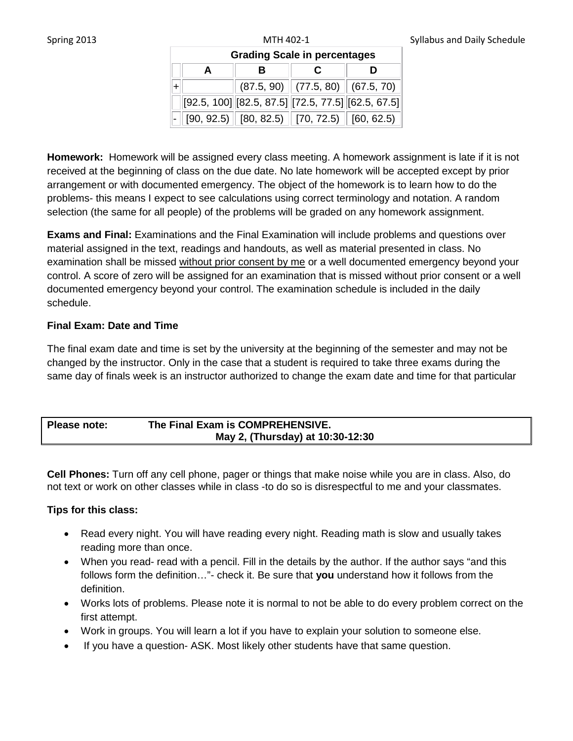| <b>Grading Scale in percentages</b> |  |  |                                                            |  |
|-------------------------------------|--|--|------------------------------------------------------------|--|
|                                     |  |  |                                                            |  |
|                                     |  |  | $(87.5, 90)$ $(77.5, 80)$ $(67.5, 70)$                     |  |
|                                     |  |  | $[92.5, 100]$ $[82.5, 87.5]$ $[72.5, 77.5]$ $[62.5, 67.5]$ |  |
|                                     |  |  | $[90, 92.5]$ $[80, 82.5]$ $[70, 72.5]$ $[60, 62.5]$        |  |

**Homework:** Homework will be assigned every class meeting. A homework assignment is late if it is not received at the beginning of class on the due date. No late homework will be accepted except by prior arrangement or with documented emergency. The object of the homework is to learn how to do the problems- this means I expect to see calculations using correct terminology and notation. A random selection (the same for all people) of the problems will be graded on any homework assignment.

**Exams and Final:** Examinations and the Final Examination will include problems and questions over material assigned in the text, readings and handouts, as well as material presented in class. No examination shall be missed without prior consent by me or a well documented emergency beyond your control. A score of zero will be assigned for an examination that is missed without prior consent or a well documented emergency beyond your control. The examination schedule is included in the daily schedule.

## **Final Exam: Date and Time**

The final exam date and time is set by the university at the beginning of the semester and may not be changed by the instructor. Only in the case that a student is required to take three exams during the same day of finals week is an instructor authorized to change the exam date and time for that particular

# **Please note: The Final Exam is COMPREHENSIVE. May 2, (Thursday) at 10:30-12:30**

**Cell Phones:** Turn off any cell phone, pager or things that make noise while you are in class. Also, do not text or work on other classes while in class -to do so is disrespectful to me and your classmates.

# **Tips for this class:**

- Read every night. You will have reading every night. Reading math is slow and usually takes reading more than once.
- When you read- read with a pencil. Fill in the details by the author. If the author says "and this follows form the definition…"- check it. Be sure that **you** understand how it follows from the definition.
- Works lots of problems. Please note it is normal to not be able to do every problem correct on the first attempt.
- Work in groups. You will learn a lot if you have to explain your solution to someone else.
- If you have a question- ASK. Most likely other students have that same question.